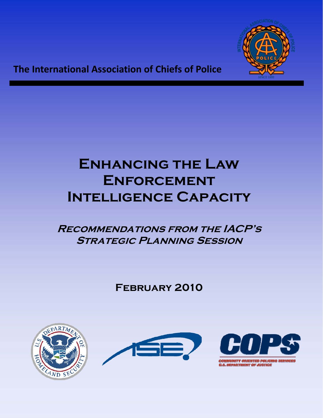

**The International Association of Chiefs of Police**

# **Enhancing the Law Enforcement Intelligence Capacity**

# **Recommendations from the IACP's Strategic Planning Session**

# **February 2010**





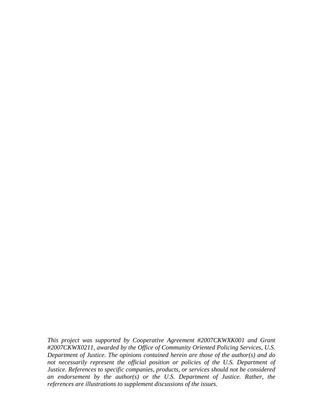*This project was supported by Cooperative Agreement #2007CKWXK001 and Grant #2007CKWX0211, awarded by the Office of Community Oriented Policing Services, U.S. Department of Justice. The opinions contained herein are those of the author(s) and do not necessarily represent the official position or policies of the U.S. Department of Justice. References to specific companies, products, or services should not be considered an endorsement by the author(s) or the U.S. Department of Justice. Rather, the references are illustrations to supplement discussions of the issues.*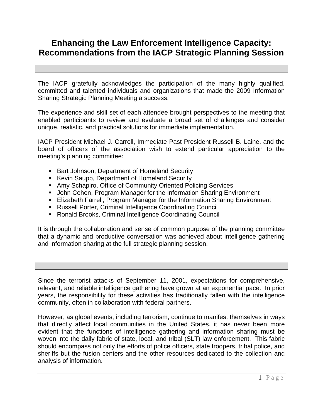# **Enhancing the Law Enforcement Intelligence Capacity: Recommendations from the IACP Strategic Planning Session**

The IACP gratefully acknowledges the participation of the many highly qualified, committed and talented individuals and organizations that made the 2009 Information Sharing Strategic Planning Meeting a success.

The experience and skill set of each attendee brought perspectives to the meeting that enabled participants to review and evaluate a broad set of challenges and consider unique, realistic, and practical solutions for immediate implementation.

IACP President Michael J. Carroll, Immediate Past President Russell B. Laine, and the board of officers of the association wish to extend particular appreciation to the meeting's planning committee:

- Bart Johnson, Department of Homeland Security
- **Kevin Saupp, Department of Homeland Security**
- Amy Schapiro, Office of Community Oriented Policing Services
- John Cohen, Program Manager for the Information Sharing Environment
- Elizabeth Farrell, Program Manager for the Information Sharing Environment
- Russell Porter, Criminal Intelligence Coordinating Council
- Ronald Brooks, Criminal Intelligence Coordinating Council

It is through the collaboration and sense of common purpose of the planning committee that a dynamic and productive conversation was achieved about intelligence gathering and information sharing at the full strategic planning session.

Since the terrorist attacks of September 11, 2001, expectations for comprehensive, relevant, and reliable intelligence gathering have grown at an exponential pace. In prior years, the responsibility for these activities has traditionally fallen with the intelligence community, often in collaboration with federal partners.

However, as global events, including terrorism, continue to manifest themselves in ways that directly affect local communities in the United States, it has never been more evident that the functions of intelligence gathering and information sharing must be woven into the daily fabric of state, local, and tribal (SLT) law enforcement. This fabric should encompass not only the efforts of police officers, state troopers, tribal police, and sheriffs but the fusion centers and the other resources dedicated to the collection and analysis of information.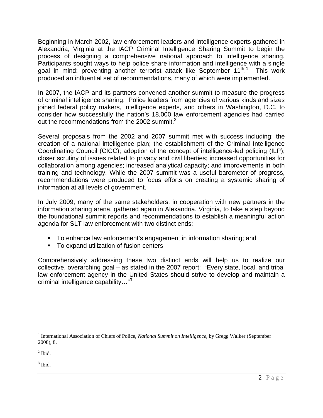Beginning in March 2002, law enforcement leaders and intelligence experts gathered in Alexandria, Virginia at the IACP Criminal Intelligence Sharing Summit to begin the process of designing a comprehensive national approach to intelligence sharing. Participants sought ways to help police share information and intelligence with a single goal in mind: preventing another terrorist attack like September 11<sup>th 1</sup> This work produced an influential set of recommendations, many of which were implemented.

In 2007, the IACP and its partners convened another summit to measure the progress of criminal intelligence sharing. Police leaders from agencies of various kinds and sizes joined federal policy makers, intelligence experts, and others in Washington, D.C. to consider how successfully the nation's 18,000 law enforcement agencies had carried out the recommendations from the 2002 summit. $2$ 

Several proposals from the 2002 and 2007 summit met with success including: the creation of a national intelligence plan; the establishment of the Criminal Intelligence Coordinating Council (CICC); adoption of the concept of intelligence-led policing (ILP); closer scrutiny of issues related to privacy and civil liberties; increased opportunities for collaboration among agencies; increased analytical capacity; and improvements in both training and technology. While the 2007 summit was a useful barometer of progress, recommendations were produced to focus efforts on creating a systemic sharing of information at all levels of government.

In July 2009, many of the same stakeholders, in cooperation with new partners in the information sharing arena, gathered again in Alexandria, Virginia, to take a step beyond the foundational summit reports and recommendations to establish a meaningful action agenda for SLT law enforcement with two distinct ends:

- To enhance law enforcement's engagement in information sharing; and
- To expand utilization of fusion centers

Comprehensively addressing these two distinct ends will help us to realize our collective, overarching goal – as stated in the 2007 report: "Every state, local, and tribal law enforcement agency in the United States should strive to develop and maintain a criminal intelligence capability..."<sup>3</sup>

 $\overline{a}$ <sup>1</sup> International Association of Chiefs of Police, *National Summit on Intelligence*, by Gregg Walker (September 2008), 8.

 $<sup>2</sup>$  Ibid.</sup>

 $3$  Ibid.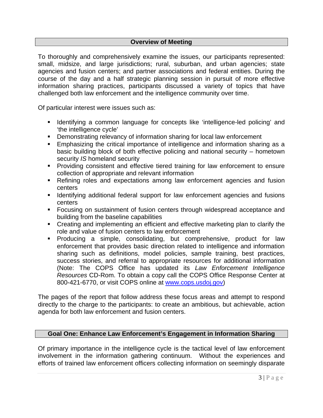#### **Overview of Meeting**

To thoroughly and comprehensively examine the issues, our participants represented: small, midsize, and large jurisdictions; rural, suburban, and urban agencies; state agencies and fusion centers; and partner associations and federal entities. During the course of the day and a half strategic planning session in pursuit of more effective information sharing practices, participants discussed a variety of topics that have challenged both law enforcement and the intelligence community over time.

Of particular interest were issues such as:

- Identifying a common language for concepts like 'intelligence-led policing' and 'the intelligence cycle'
- Demonstrating relevancy of information sharing for local law enforcement
- **Emphasizing the critical importance of intelligence and information sharing as a** basic building block of both effective policing and national security – hometown security *IS* homeland security
- **Providing consistent and effective tiered training for law enforcement to ensure** collection of appropriate and relevant information
- Refining roles and expectations among law enforcement agencies and fusion centers
- **If Identifying additional federal support for law enforcement agencies and fusions** centers
- **Focusing on sustainment of fusion centers through widespread acceptance and** building from the baseline capabilities
- Creating and implementing an efficient and effective marketing plan to clarify the role and value of fusion centers to law enforcement
- **Producing a simple, consolidating, but comprehensive, product for law** enforcement that provides basic direction related to intelligence and information sharing such as definitions, model policies, sample training, best practices, success stories, and referral to appropriate resources for additional information (Note: The COPS Office has updated its *Law Enforcement Intelligence Resources* CD-Rom. To obtain a copy call the COPS Office Response Center at 800-421-6770, or visit COPS online at www.cops.usdoj.gov)

The pages of the report that follow address these focus areas and attempt to respond directly to the charge to the participants: to create an ambitious, but achievable, action agenda for both law enforcement and fusion centers.

#### **Goal One: Enhance Law Enforcement's Engagement in Information Sharing**

Of primary importance in the intelligence cycle is the tactical level of law enforcement involvement in the information gathering continuum. Without the experiences and efforts of trained law enforcement officers collecting information on seemingly disparate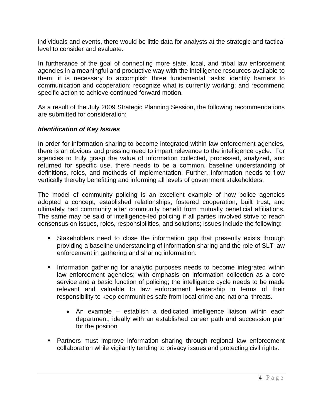individuals and events, there would be little data for analysts at the strategic and tactical level to consider and evaluate.

In furtherance of the goal of connecting more state, local, and tribal law enforcement agencies in a meaningful and productive way with the intelligence resources available to them, it is necessary to accomplish three fundamental tasks: identify barriers to communication and cooperation; recognize what is currently working; and recommend specific action to achieve continued forward motion.

As a result of the July 2009 Strategic Planning Session, the following recommendations are submitted for consideration:

### *Identification of Key Issues*

In order for information sharing to become integrated within law enforcement agencies, there is an obvious and pressing need to impart relevance to the intelligence cycle. For agencies to truly grasp the value of information collected, processed, analyzed, and returned for specific use, there needs to be a common, baseline understanding of definitions, roles, and methods of implementation. Further, information needs to flow vertically thereby benefitting and informing all levels of government stakeholders.

The model of community policing is an excellent example of how police agencies adopted a concept, established relationships, fostered cooperation, built trust, and ultimately had community after community benefit from mutually beneficial affiliations. The same may be said of intelligence-led policing if all parties involved strive to reach consensus on issues, roles, responsibilities, and solutions; issues include the following:

- Stakeholders need to close the information gap that presently exists through providing a baseline understanding of information sharing and the role of SLT law enforcement in gathering and sharing information.
- **Information gathering for analytic purposes needs to become integrated within** law enforcement agencies; with emphasis on information collection as a core service and a basic function of policing; the intelligence cycle needs to be made relevant and valuable to law enforcement leadership in terms of their responsibility to keep communities safe from local crime and national threats.
	- An example establish a dedicated intelligence liaison within each department, ideally with an established career path and succession plan for the position
- Partners must improve information sharing through regional law enforcement collaboration while vigilantly tending to privacy issues and protecting civil rights.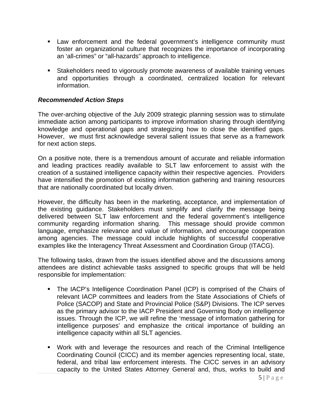- Law enforcement and the federal government's intelligence community must foster an organizational culture that recognizes the importance of incorporating an 'all-crimes" or "all-hazards" approach to intelligence.
- **Stakeholders need to vigorously promote awareness of available training venues** and opportunities through a coordinated, centralized location for relevant information.

#### *Recommended Action Steps*

The over-arching objective of the July 2009 strategic planning session was to stimulate immediate action among participants to improve information sharing through identifying knowledge and operational gaps and strategizing how to close the identified gaps. However, we must first acknowledge several salient issues that serve as a framework for next action steps.

On a positive note, there is a tremendous amount of accurate and reliable information and leading practices readily available to SLT law enforcement to assist with the creation of a sustained intelligence capacity within their respective agencies. Providers have intensified the promotion of existing information gathering and training resources that are nationally coordinated but locally driven.

However, the difficulty has been in the marketing, acceptance, and implementation of the existing guidance. Stakeholders must simplify and clarify the message being delivered between SLT law enforcement and the federal government's intelligence community regarding information sharing. This message should provide common language, emphasize relevance and value of information, and encourage cooperation among agencies. The message could include highlights of successful cooperative examples like the Interagency Threat Assessment and Coordination Group (ITACG).

The following tasks, drawn from the issues identified above and the discussions among attendees are distinct achievable tasks assigned to specific groups that will be held responsible for implementation:

- The IACP's Intelligence Coordination Panel (ICP) is comprised of the Chairs of relevant IACP committees and leaders from the State Associations of Chiefs of Police (SACOP) and State and Provincial Police (S&P) Divisions. The ICP serves as the primary advisor to the IACP President and Governing Body on intelligence issues. Through the ICP, we will refine the 'message of information gathering for intelligence purposes' and emphasize the critical importance of building an intelligence capacity within all SLT agencies.
- Work with and leverage the resources and reach of the Criminal Intelligence Coordinating Council (CICC) and its member agencies representing local, state, federal, and tribal law enforcement interests. The CICC serves in an advisory capacity to the United States Attorney General and, thus, works to build and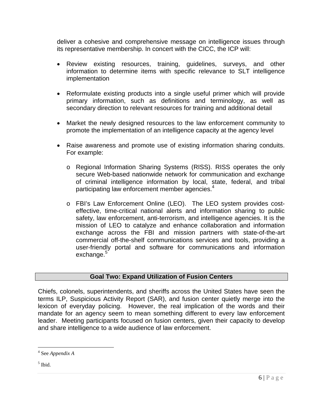deliver a cohesive and comprehensive message on intelligence issues through its representative membership. In concert with the CICC, the ICP will:

- Review existing resources, training, guidelines, surveys, and other information to determine items with specific relevance to SLT intelligence implementation
- Reformulate existing products into a single useful primer which will provide primary information, such as definitions and terminology, as well as secondary direction to relevant resources for training and additional detail
- Market the newly designed resources to the law enforcement community to promote the implementation of an intelligence capacity at the agency level
- Raise awareness and promote use of existing information sharing conduits. For example:
	- o Regional Information Sharing Systems (RISS). RISS operates the only secure Web-based nationwide network for communication and exchange of criminal intelligence information by local, state, federal, and tribal participating law enforcement member agencies.<sup>4</sup>
	- o FBI's Law Enforcement Online (LEO). The LEO system provides costeffective, time-critical national alerts and information sharing to public safety, law enforcement, anti-terrorism, and intelligence agencies. It is the mission of LEO to catalyze and enhance collaboration and information exchange across the FBI and mission partners with state-of-the-art commercial off-the-shelf communications services and tools, providing a user-friendly portal and software for communications and information exchange. $5^{5}$

## **Goal Two: Expand Utilization of Fusion Centers**

Chiefs, colonels, superintendents, and sheriffs across the United States have seen the terms ILP, Suspicious Activity Report (SAR), and fusion center quietly merge into the lexicon of everyday policing. However, the real implication of the words and their mandate for an agency seem to mean something different to every law enforcement leader. Meeting participants focused on fusion centers, given their capacity to develop and share intelligence to a wide audience of law enforcement.

 $\overline{a}$ 4 See *Appendix A*

<sup>5</sup> Ibid.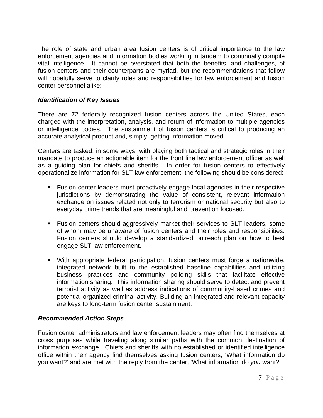The role of state and urban area fusion centers is of critical importance to the law enforcement agencies and information bodies working in tandem to continually compile vital intelligence. It cannot be overstated that both the benefits, and challenges, of fusion centers and their counterparts are myriad, but the recommendations that follow will hopefully serve to clarify roles and responsibilities for law enforcement and fusion center personnel alike:

# *Identification of Key Issues*

There are 72 federally recognized fusion centers across the United States, each charged with the interpretation, analysis, and return of information to multiple agencies or intelligence bodies. The sustainment of fusion centers is critical to producing an accurate analytical product and, simply, getting information moved.

Centers are tasked, in some ways, with playing both tactical and strategic roles in their mandate to produce an actionable item for the front line law enforcement officer as well as a guiding plan for chiefs and sheriffs. In order for fusion centers to effectively operationalize information for SLT law enforcement, the following should be considered:

- Fusion center leaders must proactively engage local agencies in their respective jurisdictions by demonstrating the value of consistent, relevant information exchange on issues related not only to terrorism or national security but also to everyday crime trends that are meaningful and prevention focused.
- Fusion centers should aggressively market their services to SLT leaders, some of whom may be unaware of fusion centers and their roles and responsibilities. Fusion centers should develop a standardized outreach plan on how to best engage SLT law enforcement.
- With appropriate federal participation, fusion centers must forge a nationwide, integrated network built to the established baseline capabilities and utilizing business practices and community policing skills that facilitate effective information sharing. This information sharing should serve to detect and prevent terrorist activity as well as address indications of community-based crimes and potential organized criminal activity. Building an integrated and relevant capacity are keys to long-term fusion center sustainment.

# *Recommended Action Steps*

Fusion center administrators and law enforcement leaders may often find themselves at cross purposes while traveling along similar paths with the common destination of information exchange. Chiefs and sheriffs with no established or identified intelligence office within their agency find themselves asking fusion centers, 'What information do you want?' and are met with the reply from the center, 'What information do *you* want?'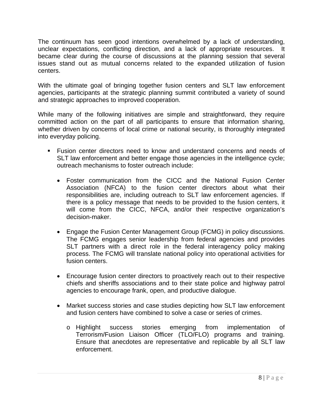The continuum has seen good intentions overwhelmed by a lack of understanding, unclear expectations, conflicting direction, and a lack of appropriate resources. It became clear during the course of discussions at the planning session that several issues stand out as mutual concerns related to the expanded utilization of fusion centers.

With the ultimate goal of bringing together fusion centers and SLT law enforcement agencies, participants at the strategic planning summit contributed a variety of sound and strategic approaches to improved cooperation.

While many of the following initiatives are simple and straightforward, they require committed action on the part of all participants to ensure that information sharing, whether driven by concerns of local crime or national security, is thoroughly integrated into everyday policing.

- Fusion center directors need to know and understand concerns and needs of SLT law enforcement and better engage those agencies in the intelligence cycle; outreach mechanisms to foster outreach include:
	- Foster communication from the CICC and the National Fusion Center Association (NFCA) to the fusion center directors about what their responsibilities are, including outreach to SLT law enforcement agencies. If there is a policy message that needs to be provided to the fusion centers, it will come from the CICC, NFCA, and/or their respective organization's decision-maker.
	- Engage the Fusion Center Management Group (FCMG) in policy discussions. The FCMG engages senior leadership from federal agencies and provides SLT partners with a direct role in the federal interagency policy making process. The FCMG will translate national policy into operational activities for fusion centers.
	- Encourage fusion center directors to proactively reach out to their respective chiefs and sheriffs associations and to their state police and highway patrol agencies to encourage frank, open, and productive dialogue.
	- Market success stories and case studies depicting how SLT law enforcement and fusion centers have combined to solve a case or series of crimes.
		- o Highlight success stories emerging from implementation of Terrorism/Fusion Liaison Officer (TLO/FLO) programs and training. Ensure that anecdotes are representative and replicable by all SLT law enforcement.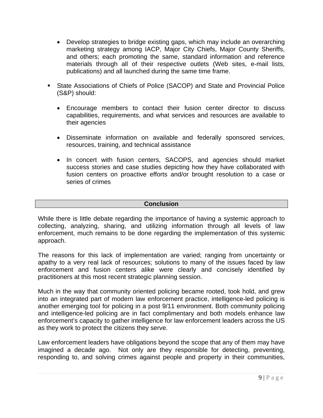- Develop strategies to bridge existing gaps, which may include an overarching marketing strategy among IACP, Major City Chiefs, Major County Sheriffs, and others; each promoting the same, standard information and reference materials through all of their respective outlets (Web sites, e-mail lists, publications) and all launched during the same time frame.
- State Associations of Chiefs of Police (SACOP) and State and Provincial Police (S&P) should:
	- Encourage members to contact their fusion center director to discuss capabilities, requirements, and what services and resources are available to their agencies
	- Disseminate information on available and federally sponsored services, resources, training, and technical assistance
	- In concert with fusion centers, SACOPS, and agencies should market success stories and case studies depicting how they have collaborated with fusion centers on proactive efforts and/or brought resolution to a case or series of crimes

### **Conclusion**

While there is little debate regarding the importance of having a systemic approach to collecting, analyzing, sharing, and utilizing information through all levels of law enforcement, much remains to be done regarding the implementation of this systemic approach.

The reasons for this lack of implementation are varied; ranging from uncertainty or apathy to a very real lack of resources; solutions to many of the issues faced by law enforcement and fusion centers alike were clearly and concisely identified by practitioners at this most recent strategic planning session.

Much in the way that community oriented policing became rooted, took hold, and grew into an integrated part of modern law enforcement practice, intelligence-led policing is another emerging tool for policing in a post 9/11 environment. Both community policing and intelligence-led policing are in fact complimentary and both models enhance law enforcement's capacity to gather intelligence for law enforcement leaders across the US as they work to protect the citizens they serve.

Law enforcement leaders have obligations beyond the scope that any of them may have imagined a decade ago. Not only are they responsible for detecting, preventing, responding to, and solving crimes against people and property in their communities,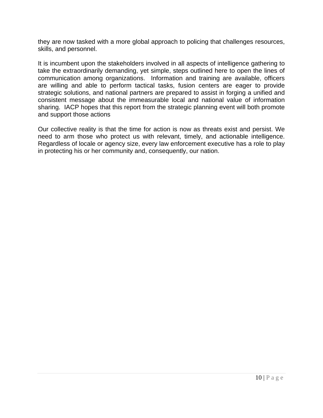they are now tasked with a more global approach to policing that challenges resources, skills, and personnel.

It is incumbent upon the stakeholders involved in all aspects of intelligence gathering to take the extraordinarily demanding, yet simple, steps outlined here to open the lines of communication among organizations. Information and training are available, officers are willing and able to perform tactical tasks, fusion centers are eager to provide strategic solutions, and national partners are prepared to assist in forging a unified and consistent message about the immeasurable local and national value of information sharing. IACP hopes that this report from the strategic planning event will both promote and support those actions

Our collective reality is that the time for action is now as threats exist and persist. We need to arm those who protect us with relevant, timely, and actionable intelligence. Regardless of locale or agency size, every law enforcement executive has a role to play in protecting his or her community and, consequently, our nation.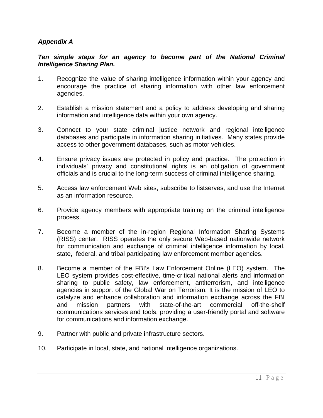#### *Appendix A*

#### *Ten simple steps for an agency to become part of the National Criminal Intelligence Sharing Plan.*

- 1. Recognize the value of sharing intelligence information within your agency and encourage the practice of sharing information with other law enforcement agencies.
- 2. Establish a mission statement and a policy to address developing and sharing information and intelligence data within your own agency.
- 3. Connect to your state criminal justice network and regional intelligence databases and participate in information sharing initiatives. Many states provide access to other government databases, such as motor vehicles.
- 4. Ensure privacy issues are protected in policy and practice. The protection in individuals' privacy and constitutional rights is an obligation of government officials and is crucial to the long-term success of criminal intelligence sharing.
- 5. Access law enforcement Web sites, subscribe to listserves, and use the Internet as an information resource.
- 6. Provide agency members with appropriate training on the criminal intelligence process.
- 7. Become a member of the in-region Regional Information Sharing Systems (RISS) center. RISS operates the only secure Web-based nationwide network for communication and exchange of criminal intelligence information by local, state, federal, and tribal participating law enforcement member agencies.
- 8. Become a member of the FBI's Law Enforcement Online (LEO) system. The LEO system provides cost-effective, time-critical national alerts and information sharing to public safety, law enforcement, antiterrorism, and intelligence agencies in support of the Global War on Terrorism. It is the mission of LEO to catalyze and enhance collaboration and information exchange across the FBI and mission partners with state-of-the-art commercial off-the-shelf communications services and tools, providing a user-friendly portal and software for communications and information exchange.
- 9. Partner with public and private infrastructure sectors.
- 10. Participate in local, state, and national intelligence organizations.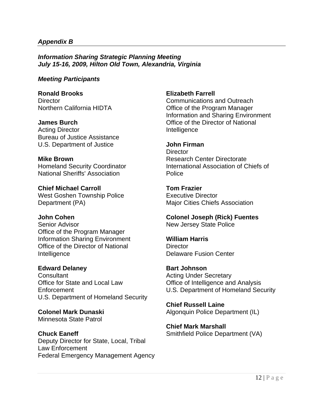#### *Appendix B*

#### *Information Sharing Strategic Planning Meeting July 15-16, 2009, Hilton Old Town, Alexandria, Virginia*

#### *Meeting Participants*

**Ronald Brooks Director** Northern California HIDTA

**James Burch**  Acting Director Bureau of Justice Assistance U.S. Department of Justice

**Mike Brown**  Homeland Security Coordinator National Sheriffs' Association

**Chief Michael Carroll**  West Goshen Township Police Department (PA)

#### **John Cohen**

Senior Advisor Office of the Program Manager Information Sharing Environment Office of the Director of National Intelligence

#### **Edward Delaney**

**Consultant** Office for State and Local Law **Enforcement** U.S. Department of Homeland Security

**Colonel Mark Dunaski**  Minnesota State Patrol

**Chuck Eaneff**  Deputy Director for State, Local, Tribal Law Enforcement Federal Emergency Management Agency

#### **Elizabeth Farrell**

Communications and Outreach Office of the Program Manager Information and Sharing Environment Office of the Director of National Intelligence

#### **John Firman**

**Director** Research Center Directorate International Association of Chiefs of **Police** 

#### **Tom Frazier**

Executive Director Major Cities Chiefs Association

**Colonel Joseph (Rick) Fuentes**  New Jersey State Police

#### **William Harris**

**Director** Delaware Fusion Center

#### **Bart Johnson**

Acting Under Secretary Office of Intelligence and Analysis U.S. Department of Homeland Security

**Chief Russell Laine**  Algonquin Police Department (IL)

#### **Chief Mark Marshall**  Smithfield Police Department (VA)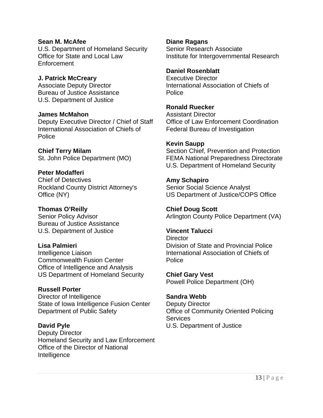#### **Sean M. McAfee**  U.S. Department of Homeland Security Office for State and Local Law Enforcement

**J. Patrick McCreary**  Associate Deputy Director Bureau of Justice Assistance U.S. Department of Justice

#### **James McMahon**  Deputy Executive Director / Chief of Staff International Association of Chiefs of Police

**Chief Terry Milam**  St. John Police Department (MO)

**Peter Modafferi**  Chief of Detectives Rockland County District Attorney's Office (NY)

**Thomas O'Reilly**  Senior Policy Advisor Bureau of Justice Assistance U.S. Department of Justice

#### **Lisa Palmieri**  Intelligence Liaison Commonwealth Fusion Center Office of Intelligence and Analysis US Department of Homeland Security

**Russell Porter**  Director of Intelligence State of Iowa Intelligence Fusion Center Department of Public Safety

#### **David Pyle**  Deputy Director Homeland Security and Law Enforcement Office of the Director of National Intelligence

**Diane Ragans**  Senior Research Associate Institute for Intergovernmental Research

# **Daniel Rosenblatt**

Executive Director International Association of Chiefs of **Police** 

# **Ronald Ruecker**

Assistant Director Office of Law Enforcement Coordination Federal Bureau of Investigation

# **Kevin Saupp**

Section Chief, Prevention and Protection FEMA National Preparedness Directorate U.S. Department of Homeland Security

# **Amy Schapiro**

Senior Social Science Analyst US Department of Justice/COPS Office

**Chief Doug Scott**  Arlington County Police Department (VA)

# **Vincent Talucci**

**Director** Division of State and Provincial Police International Association of Chiefs of Police

**Chief Gary Vest**  Powell Police Department (OH)

# **Sandra Webb**

Deputy Director Office of Community Oriented Policing **Services** U.S. Department of Justice